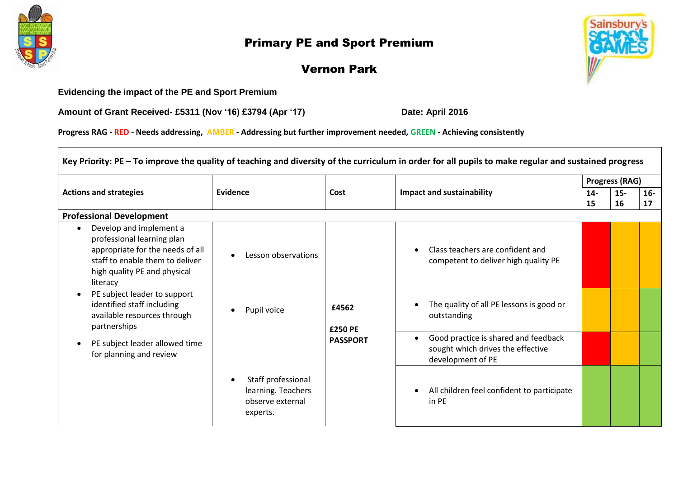

## Primary PE and Sport Premium



## Vernon Park

**Evidencing the impact of the PE and Sport Premium**

**Amount of Grant Received- £5311 (Nov '16) £3794 (Apr '17) Date: April 2016**

**Progress RAG - RED - Needs addressing, AMBER - Addressing but further improvement needed, GREEN - Achieving consistently** 

| Key Priority: PE - To improve the quality of teaching and diversity of the curriculum in order for all pupils to make regular and sustained progress                                               |                                                                          |                                     |                                                                                                |                       |       |       |  |  |
|----------------------------------------------------------------------------------------------------------------------------------------------------------------------------------------------------|--------------------------------------------------------------------------|-------------------------------------|------------------------------------------------------------------------------------------------|-----------------------|-------|-------|--|--|
|                                                                                                                                                                                                    |                                                                          |                                     |                                                                                                | <b>Progress (RAG)</b> |       |       |  |  |
| <b>Actions and strategies</b>                                                                                                                                                                      | Evidence                                                                 | Cost                                | <b>Impact and sustainability</b>                                                               | $14-$                 | $15-$ | $16-$ |  |  |
|                                                                                                                                                                                                    |                                                                          |                                     |                                                                                                | 15                    | 16    | 17    |  |  |
| <b>Professional Development</b>                                                                                                                                                                    |                                                                          |                                     |                                                                                                |                       |       |       |  |  |
| Develop and implement a<br>$\bullet$<br>professional learning plan<br>appropriate for the needs of all<br>$\bullet$<br>staff to enable them to deliver<br>high quality PE and physical<br>literacy | Lesson observations                                                      |                                     | Class teachers are confident and<br>competent to deliver high quality PE                       |                       |       |       |  |  |
| PE subject leader to support<br>identified staff including<br>available resources through<br>partnerships                                                                                          | Pupil voice<br>$\bullet$                                                 | £4562<br>£250 PE<br><b>PASSPORT</b> | The quality of all PE lessons is good or<br>outstanding                                        |                       |       |       |  |  |
| PE subject leader allowed time<br>for planning and review                                                                                                                                          |                                                                          |                                     | Good practice is shared and feedback<br>sought which drives the effective<br>development of PE |                       |       |       |  |  |
|                                                                                                                                                                                                    | Staff professional<br>learning. Teachers<br>observe external<br>experts. |                                     | All children feel confident to participate<br>in PE                                            |                       |       |       |  |  |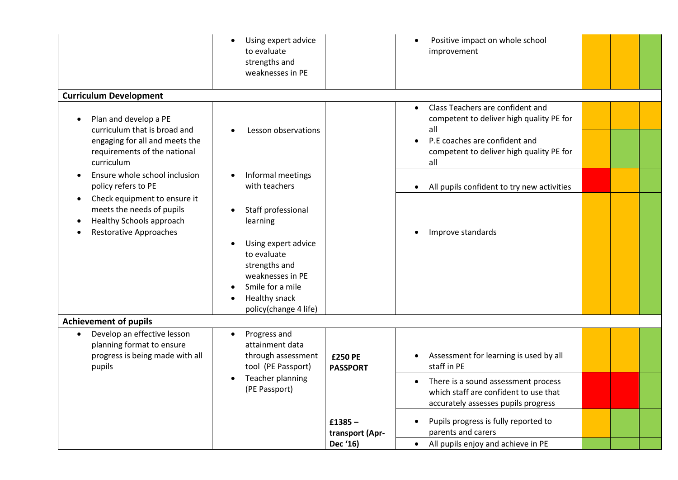|                                                                                                                                       | Using expert advice<br>to evaluate<br>strengths and<br>weaknesses in PE                                                                                                 |                                          | Positive impact on whole school<br>improvement                                                                                                                                                    |  |
|---------------------------------------------------------------------------------------------------------------------------------------|-------------------------------------------------------------------------------------------------------------------------------------------------------------------------|------------------------------------------|---------------------------------------------------------------------------------------------------------------------------------------------------------------------------------------------------|--|
| <b>Curriculum Development</b>                                                                                                         |                                                                                                                                                                         |                                          |                                                                                                                                                                                                   |  |
| Plan and develop a PE<br>curriculum that is broad and<br>engaging for all and meets the<br>requirements of the national<br>curriculum | Lesson observations                                                                                                                                                     |                                          | Class Teachers are confident and<br>$\bullet$<br>competent to deliver high quality PE for<br>all<br>P.E coaches are confident and<br>$\bullet$<br>competent to deliver high quality PE for<br>all |  |
| Ensure whole school inclusion<br>policy refers to PE                                                                                  | Informal meetings<br>with teachers                                                                                                                                      |                                          | All pupils confident to try new activities<br>$\bullet$                                                                                                                                           |  |
| Check equipment to ensure it<br>meets the needs of pupils<br>Healthy Schools approach<br><b>Restorative Approaches</b>                | Staff professional<br>learning<br>Using expert advice<br>to evaluate<br>strengths and<br>weaknesses in PE<br>Smile for a mile<br>Healthy snack<br>policy(change 4 life) |                                          | Improve standards                                                                                                                                                                                 |  |
| <b>Achievement of pupils</b>                                                                                                          |                                                                                                                                                                         |                                          |                                                                                                                                                                                                   |  |
| Develop an effective lesson<br>planning format to ensure<br>progress is being made with all<br>pupils                                 | Progress and<br>attainment data<br>through assessment<br>tool (PE Passport)<br>Teacher planning<br>(PE Passport)                                                        | <b>£250 PE</b><br><b>PASSPORT</b>        | Assessment for learning is used by all<br>staff in PE                                                                                                                                             |  |
|                                                                                                                                       |                                                                                                                                                                         |                                          | There is a sound assessment process<br>$\bullet$<br>which staff are confident to use that<br>accurately assesses pupils progress                                                                  |  |
|                                                                                                                                       |                                                                                                                                                                         | $£1385 -$<br>transport (Apr-<br>Dec '16) | Pupils progress is fully reported to<br>$\bullet$<br>parents and carers<br>All pupils enjoy and achieve in PE<br>$\bullet$                                                                        |  |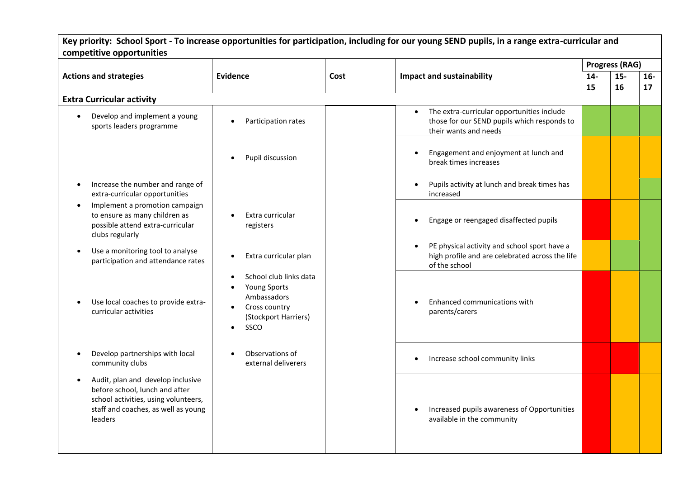| Key priority: School Sport - To increase opportunities for participation, including for our young SEND pupils, in a range extra-curricular and                             |                                                                                                                                  |      |                                                                                                                                 |                       |             |             |  |  |
|----------------------------------------------------------------------------------------------------------------------------------------------------------------------------|----------------------------------------------------------------------------------------------------------------------------------|------|---------------------------------------------------------------------------------------------------------------------------------|-----------------------|-------------|-------------|--|--|
| competitive opportunities                                                                                                                                                  |                                                                                                                                  |      |                                                                                                                                 |                       |             |             |  |  |
|                                                                                                                                                                            |                                                                                                                                  |      |                                                                                                                                 | <b>Progress (RAG)</b> |             |             |  |  |
| <b>Actions and strategies</b>                                                                                                                                              | Evidence                                                                                                                         | Cost | <b>Impact and sustainability</b>                                                                                                | $14-$<br>15           | $15-$<br>16 | $16-$<br>17 |  |  |
| <b>Extra Curricular activity</b>                                                                                                                                           |                                                                                                                                  |      |                                                                                                                                 |                       |             |             |  |  |
| Develop and implement a young<br>$\bullet$<br>sports leaders programme                                                                                                     | Participation rates<br>$\bullet$                                                                                                 |      | The extra-curricular opportunities include<br>$\bullet$<br>those for our SEND pupils which responds to<br>their wants and needs |                       |             |             |  |  |
|                                                                                                                                                                            | Pupil discussion<br>$\bullet$                                                                                                    |      | Engagement and enjoyment at lunch and<br>break times increases                                                                  |                       |             |             |  |  |
| Increase the number and range of<br>$\bullet$<br>extra-curricular opportunities                                                                                            |                                                                                                                                  |      | Pupils activity at lunch and break times has<br>increased                                                                       |                       |             |             |  |  |
| Implement a promotion campaign<br>$\bullet$<br>to ensure as many children as<br>possible attend extra-curricular<br>clubs regularly                                        | Extra curricular<br>$\bullet$<br>registers                                                                                       |      | Engage or reengaged disaffected pupils                                                                                          |                       |             |             |  |  |
| Use a monitoring tool to analyse<br>$\bullet$<br>participation and attendance rates                                                                                        | Extra curricular plan<br>$\bullet$                                                                                               |      | PE physical activity and school sport have a<br>$\bullet$<br>high profile and are celebrated across the life<br>of the school   |                       |             |             |  |  |
| Use local coaches to provide extra-<br>$\bullet$<br>curricular activities                                                                                                  | School club links data<br>$\bullet$<br>Young Sports<br>Ambassadors<br>Cross country<br>(Stockport Harriers)<br>SSCO<br>$\bullet$ |      | Enhanced communications with<br>parents/carers                                                                                  |                       |             |             |  |  |
| Develop partnerships with local<br>$\bullet$<br>community clubs                                                                                                            | Observations of<br>external deliverers                                                                                           |      | Increase school community links                                                                                                 |                       |             |             |  |  |
| Audit, plan and develop inclusive<br>$\bullet$<br>before school, lunch and after<br>school activities, using volunteers,<br>staff and coaches, as well as young<br>leaders |                                                                                                                                  |      | Increased pupils awareness of Opportunities<br>available in the community                                                       |                       |             |             |  |  |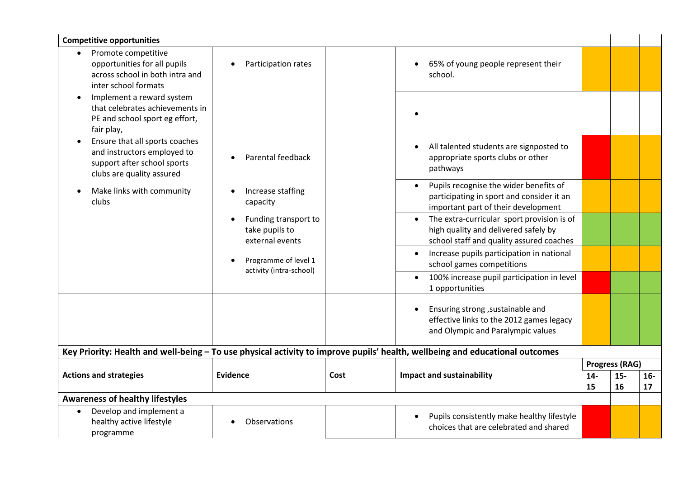| <b>Competitive opportunities</b>                                                                                          |                                                                        |      |                                                                                                                                             |                       |             |             |  |
|---------------------------------------------------------------------------------------------------------------------------|------------------------------------------------------------------------|------|---------------------------------------------------------------------------------------------------------------------------------------------|-----------------------|-------------|-------------|--|
| Promote competitive<br>opportunities for all pupils<br>across school in both intra and<br>inter school formats            | Participation rates<br>$\bullet$                                       |      | 65% of young people represent their<br>school.                                                                                              |                       |             |             |  |
| Implement a reward system<br>$\bullet$<br>that celebrates achievements in<br>PE and school sport eg effort,<br>fair play, |                                                                        |      |                                                                                                                                             |                       |             |             |  |
| Ensure that all sports coaches<br>and instructors employed to<br>support after school sports<br>clubs are quality assured | Parental feedback                                                      |      | All talented students are signposted to<br>appropriate sports clubs or other<br>pathways                                                    |                       |             |             |  |
| Make links with community<br>$\bullet$<br>clubs                                                                           | Increase staffing<br>$\bullet$<br>capacity                             |      | Pupils recognise the wider benefits of<br>$\bullet$<br>participating in sport and consider it an<br>important part of their development     |                       |             |             |  |
|                                                                                                                           | Funding transport to<br>$\bullet$<br>take pupils to<br>external events |      | The extra-curricular sport provision is of<br>$\bullet$<br>high quality and delivered safely by<br>school staff and quality assured coaches |                       |             |             |  |
|                                                                                                                           | Programme of level 1<br>activity (intra-school)                        |      | Increase pupils participation in national<br>$\bullet$<br>school games competitions                                                         |                       |             |             |  |
|                                                                                                                           |                                                                        |      | 100% increase pupil participation in level<br>1 opportunities                                                                               |                       |             |             |  |
|                                                                                                                           |                                                                        |      | Ensuring strong , sustainable and<br>effective links to the 2012 games legacy<br>and Olympic and Paralympic values                          |                       |             |             |  |
|                                                                                                                           |                                                                        |      | Key Priority: Health and well-being - To use physical activity to improve pupils' health, wellbeing and educational outcomes                |                       |             |             |  |
|                                                                                                                           |                                                                        |      |                                                                                                                                             | <b>Progress (RAG)</b> |             |             |  |
| <b>Actions and strategies</b>                                                                                             | Evidence                                                               | Cost | <b>Impact and sustainability</b>                                                                                                            | $14-$<br>15           | $15-$<br>16 | $16-$<br>17 |  |
| <b>Awareness of healthy lifestyles</b>                                                                                    |                                                                        |      |                                                                                                                                             |                       |             |             |  |
| Develop and implement a<br>healthy active lifestyle<br>programme                                                          | Observations                                                           |      | Pupils consistently make healthy lifestyle<br>choices that are celebrated and shared                                                        |                       |             |             |  |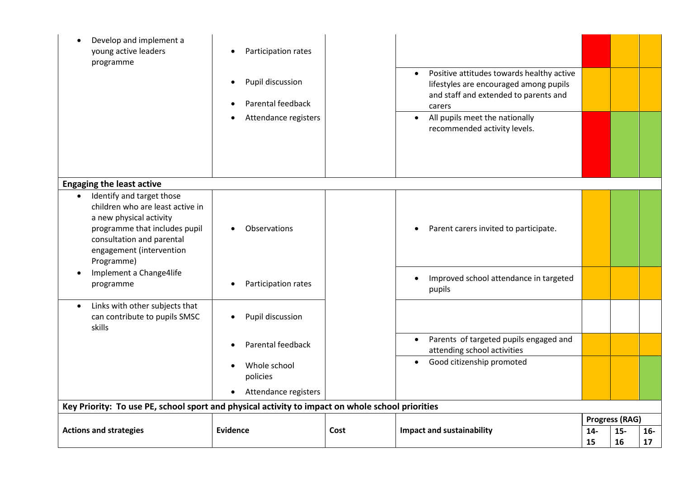| Develop and implement a<br>$\bullet$<br>young active leaders<br>programme                                                                                                                                                                             | Participation rates<br>$\bullet$<br>Pupil discussion<br>$\bullet$<br>Parental feedback<br>$\bullet$<br>Attendance registers |      | Positive attitudes towards healthy active<br>$\bullet$<br>lifestyles are encouraged among pupils<br>and staff and extended to parents and<br>carers<br>All pupils meet the nationally<br>$\bullet$<br>recommended activity levels. |                       |             |             |
|-------------------------------------------------------------------------------------------------------------------------------------------------------------------------------------------------------------------------------------------------------|-----------------------------------------------------------------------------------------------------------------------------|------|------------------------------------------------------------------------------------------------------------------------------------------------------------------------------------------------------------------------------------|-----------------------|-------------|-------------|
| <b>Engaging the least active</b>                                                                                                                                                                                                                      |                                                                                                                             |      |                                                                                                                                                                                                                                    |                       |             |             |
| Identify and target those<br>$\bullet$<br>children who are least active in<br>a new physical activity<br>programme that includes pupil<br>consultation and parental<br>engagement (intervention<br>Programme)<br>Implement a Change4life<br>$\bullet$ | Observations<br>$\bullet$                                                                                                   |      | Parent carers invited to participate.<br>$\bullet$                                                                                                                                                                                 |                       |             |             |
| programme                                                                                                                                                                                                                                             | Participation rates<br>$\bullet$                                                                                            |      | Improved school attendance in targeted<br>$\bullet$<br>pupils                                                                                                                                                                      |                       |             |             |
| Links with other subjects that<br>$\bullet$<br>can contribute to pupils SMSC<br>skills                                                                                                                                                                | Pupil discussion<br>$\bullet$                                                                                               |      |                                                                                                                                                                                                                                    |                       |             |             |
|                                                                                                                                                                                                                                                       | Parental feedback<br>$\bullet$                                                                                              |      | Parents of targeted pupils engaged and<br>$\bullet$<br>attending school activities                                                                                                                                                 |                       |             |             |
|                                                                                                                                                                                                                                                       | Whole school<br>$\bullet$<br>policies                                                                                       |      | Good citizenship promoted<br>$\bullet$                                                                                                                                                                                             |                       |             |             |
|                                                                                                                                                                                                                                                       | Attendance registers<br>$\bullet$                                                                                           |      |                                                                                                                                                                                                                                    |                       |             |             |
| Key Priority: To use PE, school sport and physical activity to impact on whole school priorities                                                                                                                                                      |                                                                                                                             |      |                                                                                                                                                                                                                                    |                       |             |             |
| <b>Actions and strategies</b>                                                                                                                                                                                                                         | Evidence                                                                                                                    | Cost | <b>Impact and sustainability</b>                                                                                                                                                                                                   | <b>Progress (RAG)</b> |             |             |
|                                                                                                                                                                                                                                                       |                                                                                                                             |      |                                                                                                                                                                                                                                    | $14-$<br>15           | $15-$<br>16 | $16-$<br>17 |